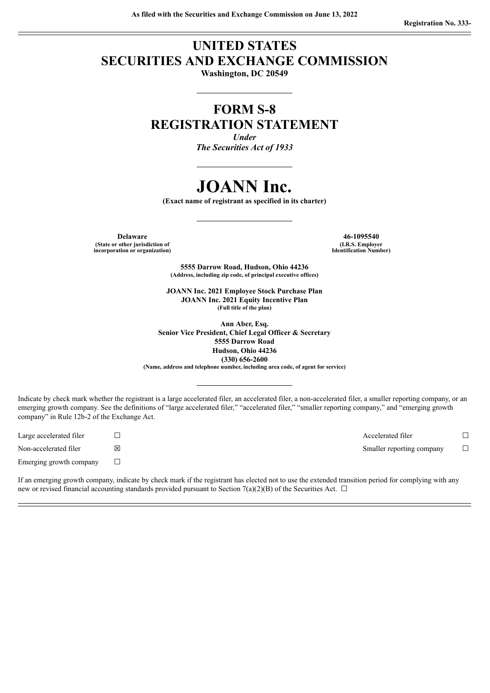## **UNITED STATES SECURITIES AND EXCHANGE COMMISSION Washington, DC 20549**

## **FORM S-8 REGISTRATION STATEMENT**

*Under The Securities Act of 1933*

# **JOANN Inc.**

**(Exact name of registrant as specified in its charter)**

**Delaware 46-1095540 (State or other jurisdiction of incorporation or organization)**

**(I.R.S. Employer Identification Number)**

**5555 Darrow Road, Hudson, Ohio 44236 (Address, including zip code, of principal executive offices)**

**JOANN Inc. 2021 Employee Stock Purchase Plan JOANN Inc. 2021 Equity Incentive Plan (Full title of the plan)**

**Ann Aber, Esq. Senior Vice President, Chief Legal Officer & Secretary 5555 Darrow Road Hudson, Ohio 44236 (330) 656-2600 (Name, address and telephone number, including area code, of agent for service)**

Indicate by check mark whether the registrant is a large accelerated filer, an accelerated filer, a non-accelerated filer, a smaller reporting company, or an emerging growth company. See the definitions of "large accelerated filer," "accelerated filer," "smaller reporting company," and "emerging growth company" in Rule 12b-2 of the Exchange Act.

Emerging growth company  $\Box$ 

Large accelerated filer ☐ Accelerated filer ☐ Non-accelerated filer **⊠** ⊠ in the set of the set of the set of the Smaller reporting company □

If an emerging growth company, indicate by check mark if the registrant has elected not to use the extended transition period for complying with any new or revised financial accounting standards provided pursuant to Section 7(a)(2)(B) of the Securities Act.  $\Box$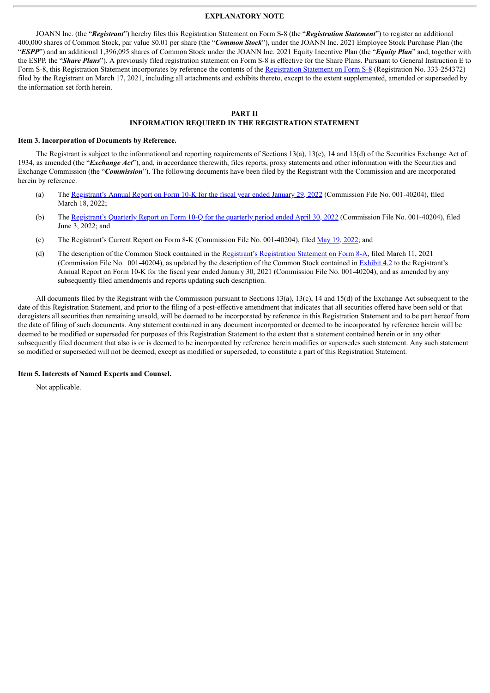#### **EXPLANATORY NOTE**

JOANN Inc. (the "*Registrant*") hereby files this Registration Statement on Form S-8 (the "*Registration Statement*") to register an additional 400,000 shares of Common Stock, par value \$0.01 per share (the "*Common Stock*"), under the JOANN Inc. 2021 Employee Stock Purchase Plan (the "*ESPP*") and an additional 1,396,095 shares of Common Stock under the JOANN Inc. 2021 Equity Incentive Plan (the "*Equity Plan*" and, together with the ESPP, the "*Share Plans*"). A previously filed registration statement on Form S-8 is effective for the Share Plans. Pursuant to General Instruction E to Form S-8, this [Registration](http://www.sec.gov/Archives/edgar/data/0001834585/000119312521083164/d122390ds8.htm) Statement incorporates by reference the contents of the Registration Statement on Form S-8 (Registration No. 333-254372) filed by the Registrant on March 17, 2021, including all attachments and exhibits thereto, except to the extent supplemented, amended or superseded by the information set forth herein.

#### **PART II INFORMATION REQUIRED IN THE REGISTRATION STATEMENT**

#### **Item 3. Incorporation of Documents by Reference.**

The Registrant is subject to the informational and reporting requirements of Sections 13(a), 13(c), 14 and 15(d) of the Securities Exchange Act of 1934, as amended (the "*Exchange Act*"), and, in accordance therewith, files reports, proxy statements and other information with the Securities and Exchange Commission (the "*Commission*"). The following documents have been filed by the Registrant with the Commission and are incorporated herein by reference:

- (a) The [Registrant's](http://www.sec.gov/ix?doc=/Archives/edgar/data/1834585/000095017022004136/joan-20220129.htm) Annual Report on Form 10-K for the fiscal year ended January 29, 2022 (Commission File No. 001-40204), filed March 18, 2022;
- (b) The [Registrant's](http://www.sec.gov/ix?doc=/Archives/edgar/data/1834585/000095017022011111/joan-20220430.htm) Quarterly Report on Form 10-Q for the quarterly period ended April 30, 2022 (Commission File No. 001-40204), filed June 3, 2022; and
- (c) The Registrant's Current Report on Form 8-K (Commission File No. 001-40204), filed May 19, [2022;](http://www.sec.gov/ix?doc=/Archives/edgar/data/1834585/000095017022010340/joan-20220517.htm) and
- (d) The description of the Common Stock contained in the Registrant's [Registration](http://www.sec.gov/Archives/edgar/data/0001834585/000119312521077365/d103330d8a12b.htm) Statement on Form 8-A, filed March 11, 2021 (Commission File No. 001-40204), as updated by the description of the Common Stock contained in [Exhibit](http://www.sec.gov/Archives/edgar/data/1834585/000156459021017323/joan-ex42_58.htm) 4.2 to the Registrant's Annual Report on Form 10-K for the fiscal year ended January 30, 2021 (Commission File No. 001-40204), and as amended by any subsequently filed amendments and reports updating such description.

All documents filed by the Registrant with the Commission pursuant to Sections 13(a), 13(c), 14 and 15(d) of the Exchange Act subsequent to the date of this Registration Statement, and prior to the filing of a post-effective amendment that indicates that all securities offered have been sold or that deregisters all securities then remaining unsold, will be deemed to be incorporated by reference in this Registration Statement and to be part hereof from the date of filing of such documents. Any statement contained in any document incorporated or deemed to be incorporated by reference herein will be deemed to be modified or superseded for purposes of this Registration Statement to the extent that a statement contained herein or in any other subsequently filed document that also is or is deemed to be incorporated by reference herein modifies or supersedes such statement. Any such statement so modified or superseded will not be deemed, except as modified or superseded, to constitute a part of this Registration Statement.

#### **Item 5. Interests of Named Experts and Counsel.**

Not applicable.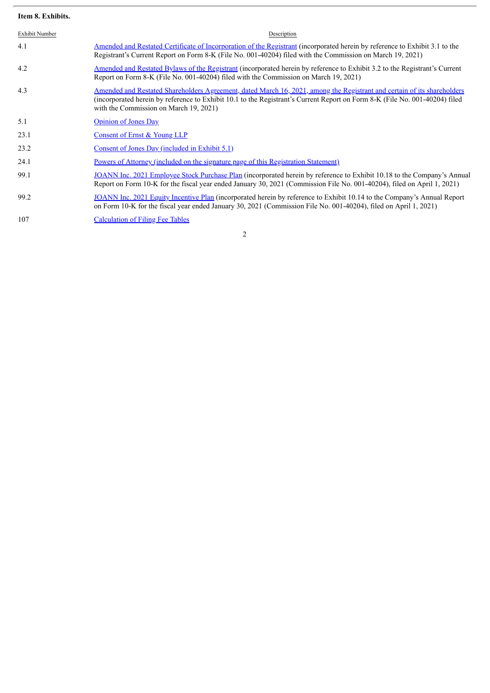### **Item 8. Exhibits.**

| Exhibit Number | Description                                                                                                                                                                                                                                                                                      |
|----------------|--------------------------------------------------------------------------------------------------------------------------------------------------------------------------------------------------------------------------------------------------------------------------------------------------|
| 4.1            | Amended and Restated Certificate of Incorporation of the Registrant (incorporated herein by reference to Exhibit 3.1 to the<br>Registrant's Current Report on Form 8-K (File No. 001-40204) filed with the Commission on March 19, 2021)                                                         |
| 4.2            | Amended and Restated Bylaws of the Registrant (incorporated herein by reference to Exhibit 3.2 to the Registrant's Current<br>Report on Form 8-K (File No. 001-40204) filed with the Commission on March 19, 2021)                                                                               |
| 4.3            | Amended and Restated Shareholders Agreement, dated March 16, 2021, among the Registrant and certain of its shareholders<br>(incorporated herein by reference to Exhibit 10.1 to the Registrant's Current Report on Form 8-K (File No. 001-40204) filed<br>with the Commission on March 19, 2021) |
| 5.1            | <b>Opinion of Jones Day</b>                                                                                                                                                                                                                                                                      |
| 23.1           | Consent of Ernst & Young LLP                                                                                                                                                                                                                                                                     |
| 23.2           | Consent of Jones Day (included in Exhibit 5.1)                                                                                                                                                                                                                                                   |
| 24.1           | Powers of Attorney (included on the signature page of this Registration Statement)                                                                                                                                                                                                               |
| 99.1           | JOANN Inc. 2021 Employee Stock Purchase Plan (incorporated herein by reference to Exhibit 10.18 to the Company's Annual<br>Report on Form 10-K for the fiscal year ended January 30, 2021 (Commission File No. 001-40204), filed on April 1, 2021)                                               |
| 99.2           | JOANN Inc. 2021 Equity Incentive Plan (incorporated herein by reference to Exhibit 10.14 to the Company's Annual Report<br>on Form 10-K for the fiscal year ended January 30, 2021 (Commission File No. 001-40204), filed on April 1, 2021)                                                      |
| 107            | <b>Calculation of Filing Fee Tables</b>                                                                                                                                                                                                                                                          |

2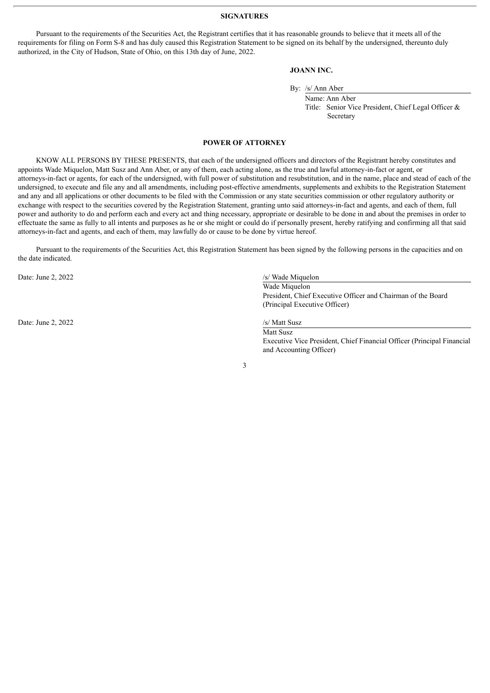#### **SIGNATURES**

Pursuant to the requirements of the Securities Act, the Registrant certifies that it has reasonable grounds to believe that it meets all of the requirements for filing on Form S-8 and has duly caused this Registration Statement to be signed on its behalf by the undersigned, thereunto duly authorized, in the City of Hudson, State of Ohio, on this 13th day of June, 2022.

#### **JOANN INC.**

By: /s/ Ann Aber

Name: Ann Aber Title: Senior Vice President, Chief Legal Officer & Secretary

#### **POWER OF ATTORNEY**

<span id="page-3-0"></span>KNOW ALL PERSONS BY THESE PRESENTS, that each of the undersigned officers and directors of the Registrant hereby constitutes and appoints Wade Miquelon, Matt Susz and Ann Aber, or any of them, each acting alone, as the true and lawful attorney-in-fact or agent, or attorneys-in-fact or agents, for each of the undersigned, with full power of substitution and resubstitution, and in the name, place and stead of each of the undersigned, to execute and file any and all amendments, including post-effective amendments, supplements and exhibits to the Registration Statement and any and all applications or other documents to be filed with the Commission or any state securities commission or other regulatory authority or exchange with respect to the securities covered by the Registration Statement, granting unto said attorneys-in-fact and agents, and each of them, full power and authority to do and perform each and every act and thing necessary, appropriate or desirable to be done in and about the premises in order to effectuate the same as fully to all intents and purposes as he or she might or could do if personally present, hereby ratifying and confirming all that said attorneys-in-fact and agents, and each of them, may lawfully do or cause to be done by virtue hereof.

Pursuant to the requirements of the Securities Act, this Registration Statement has been signed by the following persons in the capacities and on the date indicated.

Date: June 2, 2022 /s/ Wade Miquelon

Date: June 2, 2022 /s/ Matt Susz

Wade Miquelon President, Chief Executive Officer and Chairman of the Board (Principal Executive Officer)

Matt Susz Executive Vice President, Chief Financial Officer (Principal Financial and Accounting Officer)

3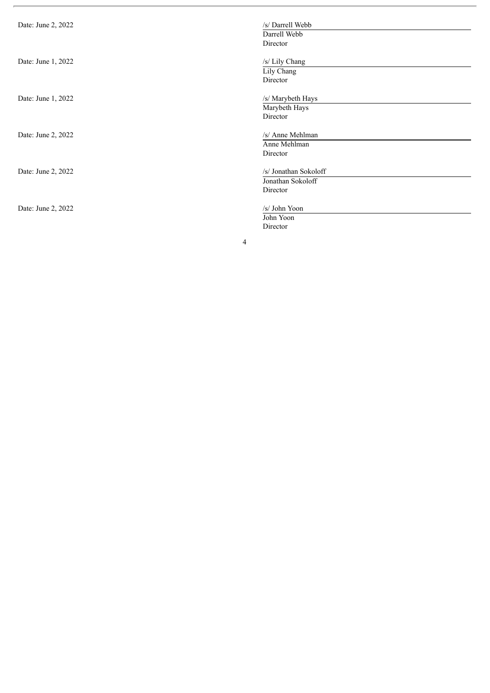| Date: June 2, 2022 | /s/ Darrell Webb<br>Darrell Webb<br>Director           |
|--------------------|--------------------------------------------------------|
| Date: June 1, 2022 | /s/ Lily Chang<br>Lily Chang<br>Director               |
| Date: June 1, 2022 | /s/ Marybeth Hays<br>Marybeth Hays<br>Director         |
| Date: June 2, 2022 | /s/ Anne Mehlman<br>Anne Mehlman<br>Director           |
| Date: June 2, 2022 | /s/ Jonathan Sokoloff<br>Jonathan Sokoloff<br>Director |
| Date: June 2, 2022 | /s/ John Yoon<br>John Yoon<br>Director                 |
| 4                  |                                                        |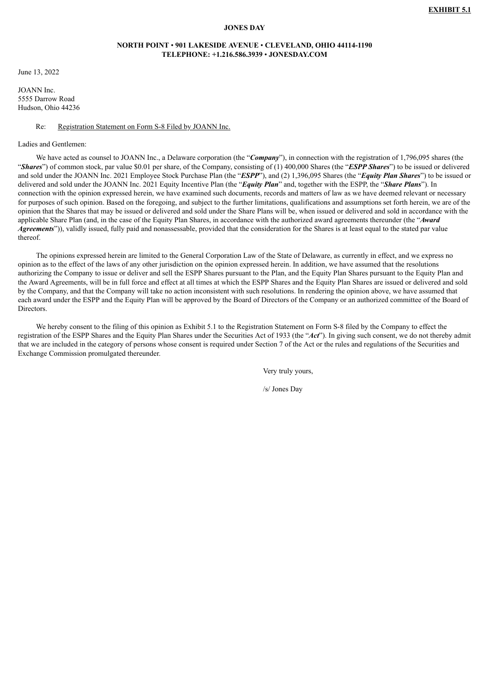#### **JONES DAY**

#### **NORTH POINT** • **901 LAKESIDE AVENUE** • **CLEVELAND, OHIO 44114-1190 TELEPHONE: +1.216.586.3939** • **JONESDAY.COM**

<span id="page-5-0"></span>June 13, 2022

JOANN Inc. 5555 Darrow Road Hudson, Ohio 44236

#### Re: Registration Statement on Form S-8 Filed by JOANN Inc.

#### Ladies and Gentlemen:

We have acted as counsel to JOANN Inc., a Delaware corporation (the "**Company**"), in connection with the registration of 1,796,095 shares (the "*Shares*") of common stock, par value \$0.01 per share, of the Company, consisting of (1) 400,000 Shares (the "*ESPP Shares*") to be issued or delivered and sold under the JOANN Inc. 2021 Employee Stock Purchase Plan (the "*ESPP*"), and (2) 1,396,095 Shares (the "*Equity Plan Shares*") to be issued or delivered and sold under the JOANN Inc. 2021 Equity Incentive Plan (the "*Equity Plan*" and, together with the ESPP, the "*Share Plans*"). In connection with the opinion expressed herein, we have examined such documents, records and matters of law as we have deemed relevant or necessary for purposes of such opinion. Based on the foregoing, and subject to the further limitations, qualifications and assumptions set forth herein, we are of the opinion that the Shares that may be issued or delivered and sold under the Share Plans will be, when issued or delivered and sold in accordance with the applicable Share Plan (and, in the case of the Equity Plan Shares, in accordance with the authorized award agreements thereunder (the "*Award Agreements*")), validly issued, fully paid and nonassessable, provided that the consideration for the Shares is at least equal to the stated par value thereof.

The opinions expressed herein are limited to the General Corporation Law of the State of Delaware, as currently in effect, and we express no opinion as to the effect of the laws of any other jurisdiction on the opinion expressed herein. In addition, we have assumed that the resolutions authorizing the Company to issue or deliver and sell the ESPP Shares pursuant to the Plan, and the Equity Plan Shares pursuant to the Equity Plan and the Award Agreements, will be in full force and effect at all times at which the ESPP Shares and the Equity Plan Shares are issued or delivered and sold by the Company, and that the Company will take no action inconsistent with such resolutions. In rendering the opinion above, we have assumed that each award under the ESPP and the Equity Plan will be approved by the Board of Directors of the Company or an authorized committee of the Board of Directors.

We hereby consent to the filing of this opinion as Exhibit 5.1 to the Registration Statement on Form S-8 filed by the Company to effect the registration of the ESPP Shares and the Equity Plan Shares under the Securities Act of 1933 (the "*Act*"). In giving such consent, we do not thereby admit that we are included in the category of persons whose consent is required under Section 7 of the Act or the rules and regulations of the Securities and Exchange Commission promulgated thereunder.

Very truly yours,

/s/ Jones Day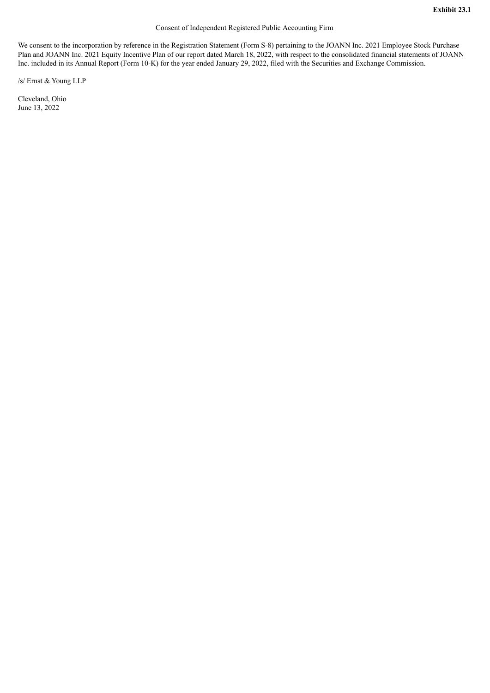#### Consent of Independent Registered Public Accounting Firm

<span id="page-6-0"></span>We consent to the incorporation by reference in the Registration Statement (Form S-8) pertaining to the JOANN Inc. 2021 Employee Stock Purchase Plan and JOANN Inc. 2021 Equity Incentive Plan of our report dated March 18, 2022, with respect to the consolidated financial statements of JOANN Inc. included in its Annual Report (Form 10-K) for the year ended January 29, 2022, filed with the Securities and Exchange Commission.

/s/ Ernst & Young LLP

Cleveland, Ohio June 13, 2022